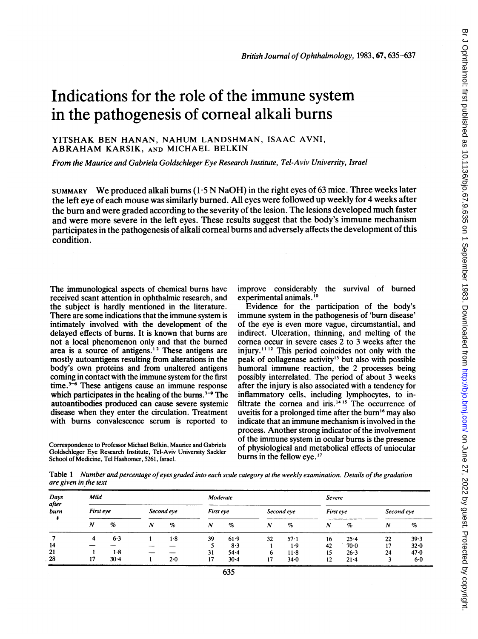# Indications for the role of the immune system in the pathogenesis of corneal alkali burns

## YITSHAK BEN HANAN, NAHUM LANDSHMAN, ISAAC AVNI, ABRAHAM KARSIK, AND MICHAEL BELKIN

From the Maurice and Gabriela Goldschleger Eye Research Institute, Tel-Aviv University, Israel

SUMMARY We produced alkali burns  $(1.5 N NaOH)$  in the right eyes of 63 mice. Three weeks later the left eye of each mouse was similarly burned. All eyes were followed up weekly for 4 weeks after the burn and were graded according to the severity of the lesion. The lesions developed much faster and were more severe in the left eyes. These results suggest that the body's immune mechanism participates in the pathogenesis of alkali corneal burns and adversely affects the development of this condition.

The immunological aspects of chemical burns have received scant attention in ophthalmic research, and the subject is hardly mentioned in the literature. There are some indications that the immune system is intimately involved with the development of the delayed effects of burns. It is known that burns are not a local phenomenon only and that the burned area is a source of antigens.'2 These antigens are mostly autoantigens resulting from alterations in the body's own proteins and from unaltered antigens coming in contact with the immune system for the first time. $3\overline{-6}$  These antigens cause an immune response which participates in the healing of the burns.<sup> $7-9$ </sup> The autoantibodies produced can cause severe systemic disease when they enter the circulation. Treatment with burns convalescence serum is reported to

Correspondence to Professor Michael Belkin, Maurice and Gabriela Goldschleger Eye Research Institute, Tel-Aviv University Sackler School of Medicine, Tel Hashomer, 5261, Israel.

improve considerably the survival of burned experimental animals.<sup>10</sup>

Evidence for the participation of the body's immune system in the pathogenesis of 'burn disease' of the eye is even more vague, circumstantial, and indirect. Ulceration, thinning, and melting of the cornea occur in severe cases 2 to 3 weeks after the injury.<sup>11 12</sup> This period coincides not only with the peak of collagenase activity'3 but also with possible humoral immune reaction, the 2 processes being possibly interrelated. The period of about 3 weeks after the injury is also associated with a tendency for inflammatory cells, including lymphocytes, to infiltrate the cornea and iris.<sup>1415</sup> The occurrence of uveitis for a prolonged time after the burn'6 may also indicate that an immune mechanism is involved in the process. Another strong indicator of the involvement of the immune system in ocular burns is the presence of physiological and metabolical effects of uniocular burns in the fellow eye.<sup>17</sup>

Table 1 Number and percentage of eyes graded into each scale category at the weekly examination. Details of the gradation are given in the text

| Days<br>after<br>burn | Mild      |          |            |     | Moderate         |          |                  |          | Severe           |          |            |      |
|-----------------------|-----------|----------|------------|-----|------------------|----------|------------------|----------|------------------|----------|------------|------|
|                       | First eye |          | Second eve |     | First eye        |          | Second eye       |          | First eye        |          | Second eye |      |
|                       | N         | $\%$     | N          | %   | $\boldsymbol{N}$ | %        | $\boldsymbol{N}$ | $\%$     | $\boldsymbol{N}$ | $\%$     | N          | $\%$ |
|                       | 4         | 6.3      |            | 1.8 | 39               | 61.9     | 32               | $57 - 1$ | 16               | 25.4     | 22         | 39.3 |
| 14                    |           |          |            |     |                  | 8.3      |                  | 1.9      | 42               | $70-0$   | 17         | 32.0 |
| 21                    |           | 1.8      |            |     | 31               | 54.4     | 6                | $11-8$   | 15               | $26 - 3$ | 24         | 47.0 |
| 28                    | 17        | $30 - 4$ |            | 2.0 | 17               | $30 - 4$ | 17               | 34.0     | 12               | $21 - 4$ |            | 6.0  |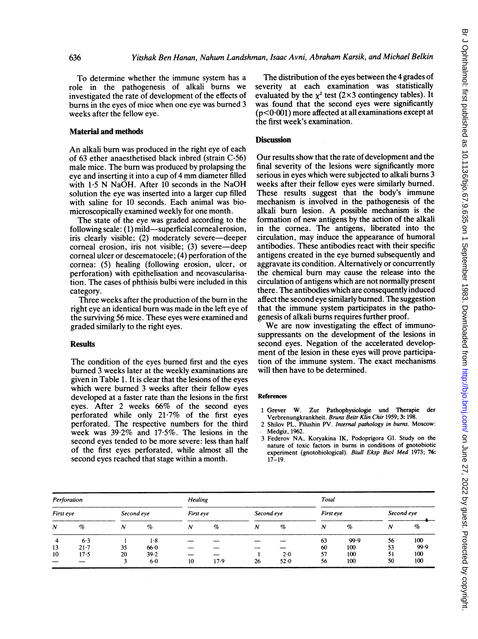To determine whether the immune system has <sup>a</sup> role in the pathogenesis of alkali bums we investigated the rate of development of the effects of burns in the eyes of mice when one eye was burned 3 weeks after the fellow eye.

#### Material and methods

An alkali burn was produced in the right eye of each of 63 ether anaesthetised black inbred (strain C-56) male mice. The bum was produced by prolapsing the eye and inserting it into <sup>a</sup> cup of <sup>4</sup> mm diameter filled with 1.5 N NaOH. After 10 seconds in the NaOH solution the eye was inserted into a larger cup filled with saline for 10 seconds. Each animal was biomicroscopically examined weekly for one month.

The state of the eye was graded according to the following scale: (1) mild—superficial corneal erosion, iris clearly visible; (2) moderately severe-deeper corneal erosion, iris not visible; (3) severe—deep comeal ulcer or descematocele; (4) perforation of the cornea: (5) healing (following erosion, ulcer, or perforation) with epithelisation and neovascularisation. The cases of phthisis bulbi were included in this category.

Three weeks after the production of the bum in the right eye an identical burn was made in the left eye of the surviving 56 mice. These eyes were examined and graded similarly to the right eyes.

#### **Results**

The condition of the eyes bumed first and the eyes bumed 3 weeks later at the weekly examinations are given in Table 1. It is clear that the lesions of the eyes which were bumed 3 weeks after their fellow eyes developed at a faster rate than the lesions in the first eyes. After 2 weeks 66% of the second eyes perforated while only 21-7% of the first eyes perforated. The respective numbers for the third week was 39-2% and 17 5%. The lesions in the second eyes tended to be more severe: less than half of the first eyes perforated, while almost all the second eyes reached that stage within a month.

The distribution of the eyes between the 4 grades of severity at each examination was statistically evaluated by the  $\chi^2$  test (2×3 contingency tables). It was found that the second eyes were significantly  $(p<0.001)$  more affected at all examinations except at the first week's examination.

### **Discussion**

Our results show that the rate of development and the final severity of the lesions were significantly more serious in eyes which were subjected to alkali bums 3 weeks after their fellow eyes were similarly bumed. These results suggest that the body's immune mechanism is involved in the pathogenesis of the alkali bum lesion. A possible mechanism is the formation of new antigens by the action of the alkali in the cornea. The antigens, liberated into the circulation, may induce the appearance of humoral antibodies. These antibodies react with their specific antigens created in the eye bumed subsequently and aggravate its condition. Altematively or concurrently the chemical bum may cause the release into the circulation of antigens which are not normally present there. The antibodies which are consequently induced affect the second eye similarly bumed. The suggestion that the immune system participates in the pathogenesis of alkali bums requires further proof.

We are now investigating the effect of immunosuppressants on the development of the lesions in second eyes. Negation of the accelerated development of the lesion in these eyes will prove participation of the immune system. The exact mechanisms will then have to be determined.

#### References

- <sup>1</sup> Grever W. Zur Pathophysiologie und Therapie der Verbrenungkrankheit. Bruns Beitr Klin Chir 1959; 3: 198.
- 2 Shilov PL, Pilushin PV. Internal pathology in burns. Moscow: Medgiz, 1962.
- 3 Federov NA, Koryakina IK, Podoprigora GI. Study on the nature of toxic factors in burns in conditions of gnotobiotic experiment (gnotobiological). Biull Eksp Biol Med 1973; 76: 17-19.

| Perforation |          |            |       | <b>Healing</b>   |      |                  | Total |                  |      |                  |      |
|-------------|----------|------------|-------|------------------|------|------------------|-------|------------------|------|------------------|------|
| First eye   |          | Second eye |       | First eye        |      | Second eye       |       | First eye        |      | Second eye       |      |
| N           | $\%$     | N          | $\%$  | $\boldsymbol{N}$ | $\%$ | $\boldsymbol{N}$ | $\%$  | $\boldsymbol{N}$ | $\%$ | $\boldsymbol{N}$ | %    |
| 4           | 6.3      |            | 1.8   |                  |      |                  |       | 63               | 99.9 | 56               | 100  |
| 13          | $21 - 7$ | 35         | 66.0  |                  |      |                  |       | 60               | 100  | 53               | 99.9 |
| 10          | 17.5     | 20         | 39.2  |                  |      |                  | 2.0   | 57               | 100  | 51               | 100  |
|             |          |            | $6-0$ | 10               | 17.9 | 26               | 52.0  | 56               | 100  | 50               | 100  |